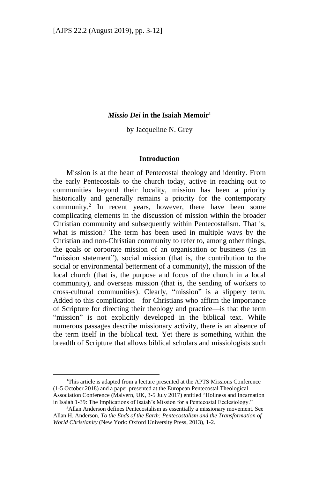# *Missio Dei* **in the Isaiah Memoir<sup>1</sup>**

by Jacqueline N. Grey

### **Introduction**

Mission is at the heart of Pentecostal theology and identity. From the early Pentecostals to the church today, active in reaching out to communities beyond their locality, mission has been a priority historically and generally remains a priority for the contemporary community. 2 In recent years, however, there have been some complicating elements in the discussion of mission within the broader Christian community and subsequently within Pentecostalism. That is, what is mission? The term has been used in multiple ways by the Christian and non-Christian community to refer to, among other things, the goals or corporate mission of an organisation or business (as in "mission statement"), social mission (that is, the contribution to the social or environmental betterment of a community), the mission of the local church (that is, the purpose and focus of the church in a local community), and overseas mission (that is, the sending of workers to cross-cultural communities). Clearly, "mission" is a slippery term. Added to this complication—for Christians who affirm the importance of Scripture for directing their theology and practice—is that the term "mission" is not explicitly developed in the biblical text. While numerous passages describe missionary activity, there is an absence of the term itself in the biblical text. Yet there is something within the breadth of Scripture that allows biblical scholars and missiologists such

1

<sup>&</sup>lt;sup>1</sup>This article is adapted from a lecture presented at the APTS Missions Conference (1-5 October 2018) and a paper presented at the European Pentecostal Theological Association Conference (Malvern, UK, 3-5 July 2017) entitled "Holiness and Incarnation in Isaiah 1-39: The Implications of Isaiah's Mission for a Pentecostal Ecclesiology."

<sup>2</sup>Allan Anderson defines Pentecostalism as essentially a missionary movement. See Allan H. Anderson, *To the Ends of the Earth: Pentecostalism and the Transformation of World Christianity* (New York: Oxford University Press, 2013), 1-2.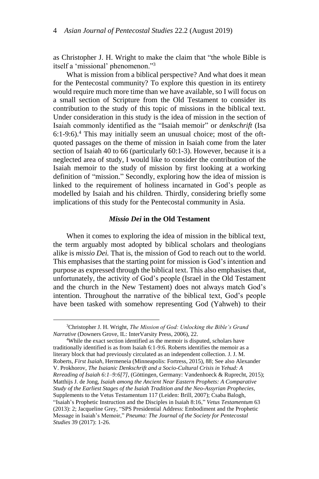as Christopher J. H. Wright to make the claim that "the whole Bible is itself a 'missional' phenomenon."<sup>3</sup>

What is mission from a biblical perspective? And what does it mean for the Pentecostal community? To explore this question in its entirety would require much more time than we have available, so I will focus on a small section of Scripture from the Old Testament to consider its contribution to the study of this topic of missions in the biblical text. Under consideration in this study is the idea of mission in the section of Isaiah commonly identified as the "Isaiah memoir" or *denkschrift* (Isa 6:1-9:6). <sup>4</sup> This may initially seem an unusual choice; most of the oftquoted passages on the theme of mission in Isaiah come from the later section of Isaiah 40 to 66 (particularly 60:1-3). However, because it is a neglected area of study, I would like to consider the contribution of the Isaiah memoir to the study of mission by first looking at a working definition of "mission." Secondly, exploring how the idea of mission is linked to the requirement of holiness incarnated in God's people as modelled by Isaiah and his children. Thirdly, considering briefly some implications of this study for the Pentecostal community in Asia.

# *Missio Dei* **in the Old Testament**

When it comes to exploring the idea of mission in the biblical text, the term arguably most adopted by biblical scholars and theologians alike is *missio Dei.* That is, the mission of God to reach out to the world. This emphasises that the starting point for mission is God's intention and purpose as expressed through the biblical text. This also emphasises that, unfortunately, the activity of God's people (Israel in the Old Testament and the church in the New Testament) does not always match God's intention. Throughout the narrative of the biblical text, God's people have been tasked with somehow representing God (Yahweh) to their

-

<sup>4</sup>While the exact section identified as the memoir is disputed, scholars have traditionally identified is as from Isaiah 6:1-9:6. Roberts identifies the memoir as a literary block that had previously circulated as an independent collection. J. J. M. Roberts, *First Isaiah*, Hermeneia (Minneapolis: Fortress, 2015), 88; See also Alexander V. Prokhorov, *The Isaianic Denkschrift and a Socio-Cultural Crisis in Yehud: A Rereading of Isaiah 6:1–9:6[7]*, (Göttingen, Germany: Vandenhoeck & Ruprecht, 2015); Matthijs J. de Jong, *Isaiah among the Ancient Near Eastern Prophets: A Comparative Study of the Earliest Stages of the Isaiah Tradition and the Neo-Assyrian Prophecies*, Supplements to the Vetus Testamentum 117 (Leiden: Brill, 2007); Csaba Balogh, "Isaiah's Prophetic Instruction and the Disciples in Isaiah 8:16," *Vetus Testamentum* 63 (2013): 2; Jacqueline Grey, "SPS Presidential Address: Embodiment and the Prophetic Message in Isaiah's Memoir," *Pneuma: The Journal of the Society for Pentecostal Studies* 39 (2017): 1-26.

<sup>3</sup>Christopher J. H. Wright, *The Mission of God: Unlocking the Bible's Grand Narrative* (Downers Grove, IL: InterVarsity Press, 2006), 22.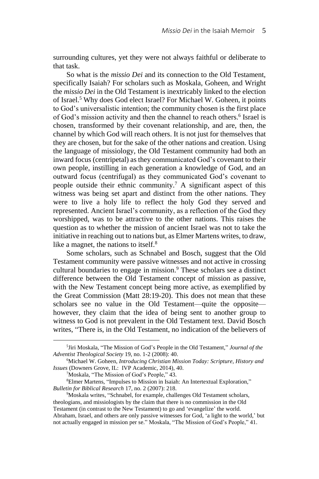surrounding cultures, yet they were not always faithful or deliberate to that task.

So what is the *missio Dei* and its connection to the Old Testament, specifically Isaiah? For scholars such as Moskala, Goheen, and Wright the *missio Dei* in the Old Testament is inextricably linked to the election of Israel.<sup>5</sup> Why does God elect Israel? For Michael W. Goheen, it points to God's universalistic intention; the community chosen is the first place of God's mission activity and then the channel to reach others.<sup>6</sup> Israel is chosen, transformed by their covenant relationship, and are, then, the channel by which God will reach others. It is not just for themselves that they are chosen, but for the sake of the other nations and creation. Using the language of missiology, the Old Testament community had both an inward focus (centripetal) as they communicated God's covenant to their own people, instilling in each generation a knowledge of God, and an outward focus (centrifugal) as they communicated God's covenant to people outside their ethnic community.<sup>7</sup> A significant aspect of this witness was being set apart and distinct from the other nations. They were to live a holy life to reflect the holy God they served and represented. Ancient Israel's community, as a reflection of the God they worshipped, was to be attractive to the other nations. This raises the question as to whether the mission of ancient Israel was not to take the initiative in reaching out to nations but, as Elmer Martens writes, to draw, like a magnet, the nations to itself.<sup>8</sup>

Some scholars, such as Schnabel and Bosch, suggest that the Old Testament community were passive witnesses and not active in crossing cultural boundaries to engage in mission.<sup>9</sup> These scholars see a distinct difference between the Old Testament concept of mission as passive, with the New Testament concept being more active, as exemplified by the Great Commission (Matt 28:19-20). This does not mean that these scholars see no value in the Old Testament—quite the opposite however, they claim that the idea of being sent to another group to witness to God is not prevalent in the Old Testament text. David Bosch writes, "There is, in the Old Testament, no indication of the believers of

-

<sup>5</sup> Jiri Moskala, "The Mission of God's People in the Old Testament," *Journal of the Adventist Theological Society* 19, no. 1-2 (2008): 40.

<sup>6</sup>Michael W. Goheen, *Introducing Christian Mission Today: Scripture, History and Issues* (Downers Grove, IL: IVP Academic, 2014), 40.

<sup>7</sup>Moskala, "The Mission of God's People," 43.

<sup>8</sup>Elmer Martens, "Impulses to Mission in Isaiah: An Intertextual Exploration," *Bulletin for Biblical Research* 17, no. 2 (2007): 218.

<sup>&</sup>lt;sup>9</sup>Moskala writes, "Schnabel, for example, challenges Old Testament scholars, theologians, and missiologists by the claim that there is no commission in the Old Testament (in contrast to the New Testament) to go and 'evangelize' the world. Abraham, Israel, and others are only passive witnesses for God, 'a light to the world,' but not actually engaged in mission per se." Moskala, "The Mission of God's People," 41.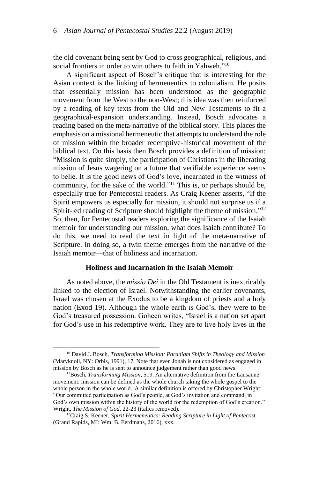the old covenant being sent by God to cross geographical, religious, and social frontiers in order to win others to faith in Yahweh."<sup>10</sup>

A significant aspect of Bosch's critique that is interesting for the Asian context is the linking of hermeneutics to colonialism. He posits that essentially mission has been understood as the geographic movement from the West to the non-West; this idea was then reinforced by a reading of key texts from the Old and New Testaments to fit a geographical-expansion understanding. Instead, Bosch advocates a reading based on the meta-narrative of the biblical story. This places the emphasis on a missional hermeneutic that attempts to understand the role of mission within the broader redemptive-historical movement of the biblical text. On this basis then Bosch provides a definition of mission: "Mission is quite simply, the participation of Christians in the liberating mission of Jesus wagering on a future that verifiable experience seems to belie. It is the good news of God's love, incarnated in the witness of community, for the sake of the world."<sup>11</sup> This is, or perhaps should be, especially true for Pentecostal readers. As Craig Keener asserts, "If the Spirit empowers us especially for mission, it should not surprise us if a Spirit-led reading of Scripture should highlight the theme of mission."<sup>12</sup> So, then, for Pentecostal readers exploring the significance of the Isaiah memoir for understanding our mission, what does Isaiah contribute? To do this, we need to read the text in light of the meta-narrative of Scripture. In doing so, a twin theme emerges from the narrative of the Isaiah memoir—that of holiness and incarnation.

# **Holiness and Incarnation in the Isaiah Memoir**

As noted above, the *missio Dei* in the Old Testament is inextricably linked to the election of Israel. Notwithstanding the earlier covenants, Israel was chosen at the Exodus to be a kingdom of priests and a holy nation (Exod 19). Although the whole earth is God's, they were to be God's treasured possession. Goheen writes, "Israel is a nation set apart for God's use in his redemptive work. They are to live holy lives in the

**.** 

<sup>10</sup> David J. Bosch, *Transforming Mission: Paradigm Shifts in Theology and Mission*  (Maryknoll, NY: Orbis, 1991), 17. Note that even Jonah is not considered as engaged in mission by Bosch as he is sent to announce judgement rather than good news.

<sup>11</sup>Bosch, *Transforming Mission*, 519. An alternative definition from the Lausanne movement: mission can be defined as the whole church taking the whole gospel to the whole person in the whole world. A similar definition is offered by Christopher Wright: "Our committed participation as God's people, at God's invitation and command, in God's own mission within the history of the world for the redemption of God's creation." Wright, *The Mission of God*, 22-23 (italics removed).

<sup>12</sup>Craig S. Keener, *Spirit Hermeneutics: Reading Scripture in Light of Pentecost*  (Grand Rapids, MI: Wm. B. Eerdmans, 2016), xxx.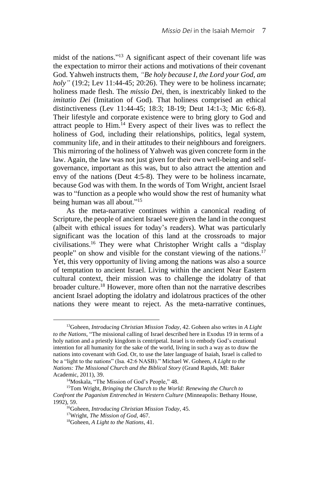midst of the nations." <sup>13</sup> A significant aspect of their covenant life was the expectation to mirror their actions and motivations of their covenant God. Yahweh instructs them*, "Be holy because I, the Lord your God, am holy"* (19:2; Lev 11:44-45; 20:26). They were to be holiness incarnate; holiness made flesh. The *missio Dei*, then, is inextricably linked to the *imitatio Dei* (Imitation of God)*.* That holiness comprised an ethical distinctiveness (Lev 11:44-45; 18:3; 18-19; Deut 14:1-3; Mic 6:6-8). Their lifestyle and corporate existence were to bring glory to God and attract people to Him.<sup>14</sup> Every aspect of their lives was to reflect the holiness of God, including their relationships, politics, legal system, community life, and in their attitudes to their neighbours and foreigners. This mirroring of the holiness of Yahweh was given concrete form in the law. Again, the law was not just given for their own well-being and selfgovernance, important as this was, but to also attract the attention and envy of the nations (Deut 4:5-8). They were to be holiness incarnate, because God was with them. In the words of Tom Wright, ancient Israel was to "function as a people who would show the rest of humanity what being human was all about." 15

As the meta-narrative continues within a canonical reading of Scripture, the people of ancient Israel were given the land in the conquest (albeit with ethical issues for today's readers). What was particularly significant was the location of this land at the crossroads to major civilisations.<sup>16</sup> They were what Christopher Wright calls a "display people" on show and visible for the constant viewing of the nations.<sup>17</sup> Yet, this very opportunity of living among the nations was also a source of temptation to ancient Israel. Living within the ancient Near Eastern cultural context, their mission was to challenge the idolatry of that broader culture.<sup>18</sup> However, more often than not the narrative describes ancient Israel adopting the idolatry and idolatrous practices of the other nations they were meant to reject. As the meta-narrative continues,

-

<sup>13</sup>Goheen, *Introducing Christian Mission Today*, 42. Goheen also writes in *A Light to the Nations*, "The missional calling of Israel described here in Exodus 19 in terms of a holy nation and a priestly kingdom is centripetal. Israel is to embody God's creational intention for all humanity for the sake of the world, living in such a way as to draw the nations into covenant with God. Or, to use the later language of Isaiah, Israel is called to be a "light to the nations" (Isa. 42:6 NASB)." Michael W. Goheen, *A Light to the Nations: The Missional Church and the Biblical Story* (Grand Rapids, MI: Baker Academic, 2011), 39.

<sup>14</sup>Moskala, "The Mission of God's People," 48.

<sup>15</sup>Tom Wright, *Bringing the Church to the World: Renewing the Church to Confront the Paganism Entrenched in Western Culture* (Minneapolis: Bethany House, 1992), 59.

<sup>16</sup>Goheen, *Introducing Christian Mission Today*, 45.

<sup>17</sup>Wright, *The Mission of God*, 467.

<sup>18</sup>Goheen, *A Light to the Nations*, 41.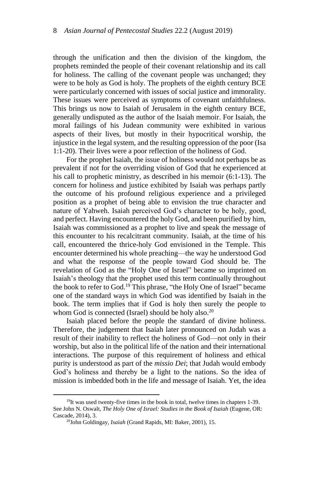through the unification and then the division of the kingdom, the prophets reminded the people of their covenant relationship and its call for holiness. The calling of the covenant people was unchanged; they were to be holy as God is holy. The prophets of the eighth century BCE were particularly concerned with issues of social justice and immorality. These issues were perceived as symptoms of covenant unfaithfulness. This brings us now to Isaiah of Jerusalem in the eighth century BCE, generally undisputed as the author of the Isaiah memoir. For Isaiah, the moral failings of his Judean community were exhibited in various aspects of their lives, but mostly in their hypocritical worship, the injustice in the legal system, and the resulting oppression of the poor (Isa 1:1-20). Their lives were a poor reflection of the holiness of God.

For the prophet Isaiah, the issue of holiness would not perhaps be as prevalent if not for the overriding vision of God that he experienced at his call to prophetic ministry, as described in his memoir (6:1-13). The concern for holiness and justice exhibited by Isaiah was perhaps partly the outcome of his profound religious experience and a privileged position as a prophet of being able to envision the true character and nature of Yahweh. Isaiah perceived God's character to be holy, good, and perfect. Having encountered the holy God, and been purified by him, Isaiah was commissioned as a prophet to live and speak the message of this encounter to his recalcitrant community. Isaiah, at the time of his call, encountered the thrice-holy God envisioned in the Temple. This encounter determined his whole preaching—the way he understood God and what the response of the people toward God should be. The revelation of God as the "Holy One of Israel" became so imprinted on Isaiah's theology that the prophet used this term continually throughout the book to refer to God.<sup>19</sup> This phrase, "the Holy One of Israel" became one of the standard ways in which God was identified by Isaiah in the book. The term implies that if God is holy then surely the people to whom God is connected (Israel) should be holy also.<sup>20</sup>

Isaiah placed before the people the standard of divine holiness. Therefore, the judgement that Isaiah later pronounced on Judah was a result of their inability to reflect the holiness of God—not only in their worship, but also in the political life of the nation and their international interactions. The purpose of this requirement of holiness and ethical purity is understood as part of the *missio Dei*; that Judah would embody God's holiness and thereby be a light to the nations. So the idea of mission is imbedded both in the life and message of Isaiah. Yet, the idea

**.** 

<sup>&</sup>lt;sup>19</sup>It was used twenty-five times in the book in total, twelve times in chapters 1-39. See John N. Oswalt, *The Holy One of Israel: Studies in the Book of Isaiah* (Eugene, OR: Cascade, 2014), 3.

<sup>20</sup>John Goldingay, *Isaiah* (Grand Rapids, MI: Baker, 2001), 15.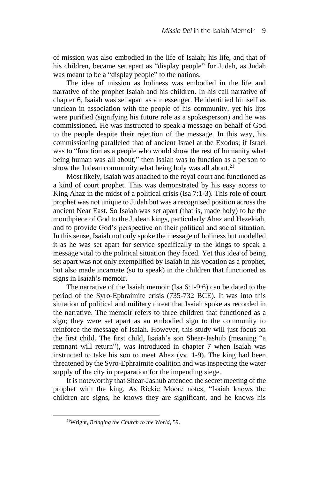of mission was also embodied in the life of Isaiah; his life, and that of his children, became set apart as "display people" for Judah, as Judah was meant to be a "display people" to the nations.

The idea of mission as holiness was embodied in the life and narrative of the prophet Isaiah and his children. In his call narrative of chapter 6, Isaiah was set apart as a messenger. He identified himself as unclean in association with the people of his community, yet his lips were purified (signifying his future role as a spokesperson) and he was commissioned. He was instructed to speak a message on behalf of God to the people despite their rejection of the message. In this way, his commissioning paralleled that of ancient Israel at the Exodus; if Israel was to "function as a people who would show the rest of humanity what being human was all about," then Isaiah was to function as a person to show the Judean community what being holy was all about.<sup>21</sup>

Most likely, Isaiah was attached to the royal court and functioned as a kind of court prophet. This was demonstrated by his easy access to King Ahaz in the midst of a political crisis (Isa 7:1-3). This role of court prophet was not unique to Judah but was a recognised position across the ancient Near East. So Isaiah was set apart (that is, made holy) to be the mouthpiece of God to the Judean kings, particularly Ahaz and Hezekiah, and to provide God's perspective on their political and social situation. In this sense, Isaiah not only spoke the message of holiness but modelled it as he was set apart for service specifically to the kings to speak a message vital to the political situation they faced. Yet this idea of being set apart was not only exemplified by Isaiah in his vocation as a prophet, but also made incarnate (so to speak) in the children that functioned as signs in Isaiah's memoir.

The narrative of the Isaiah memoir (Isa 6:1-9:6) can be dated to the period of the Syro-Ephraimite crisis (735-732 BCE). It was into this situation of political and military threat that Isaiah spoke as recorded in the narrative. The memoir refers to three children that functioned as a sign; they were set apart as an embodied sign to the community to reinforce the message of Isaiah. However, this study will just focus on the first child. The first child, Isaiah's son Shear-Jashub (meaning "a remnant will return"), was introduced in chapter 7 when Isaiah was instructed to take his son to meet Ahaz (vv. 1-9). The king had been threatened by the Syro-Ephraimite coalition and was inspecting the water supply of the city in preparation for the impending siege.

It is noteworthy that Shear-Jashub attended the secret meeting of the prophet with the king. As Rickie Moore notes, "Isaiah knows the children are signs, he knows they are significant, and he knows his

1

<sup>21</sup>Wright, *Bringing the Church to the World*, 59.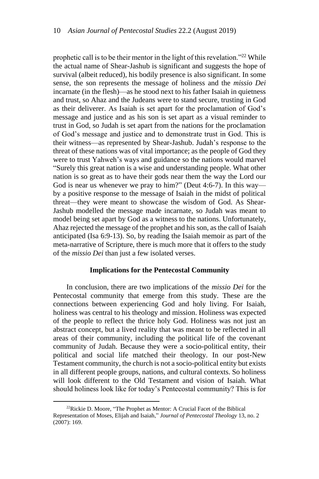prophetic call is to be their mentor in the light of this revelation."<sup>22</sup> While the actual name of Shear-Jashub is significant and suggests the hope of survival (albeit reduced), his bodily presence is also significant. In some sense, the son represents the message of holiness and the *missio Dei* incarnate (in the flesh)—as he stood next to his father Isaiah in quietness and trust, so Ahaz and the Judeans were to stand secure, trusting in God as their deliverer. As Isaiah is set apart for the proclamation of God's message and justice and as his son is set apart as a visual reminder to trust in God, so Judah is set apart from the nations for the proclamation of God's message and justice and to demonstrate trust in God. This is their witness—as represented by Shear-Jashub. Judah's response to the threat of these nations was of vital importance; as the people of God they were to trust Yahweh's ways and guidance so the nations would marvel "Surely this great nation is a wise and understanding people. What other nation is so great as to have their gods near them the way the Lord our God is near us whenever we pray to him?" (Deut 4:6-7). In this way by a positive response to the message of Isaiah in the midst of political threat—they were meant to showcase the wisdom of God. As Shear-Jashub modelled the message made incarnate, so Judah was meant to model being set apart by God as a witness to the nations. Unfortunately, Ahaz rejected the message of the prophet and his son, as the call of Isaiah anticipated (Isa 6:9-13). So, by reading the Isaiah memoir as part of the meta-narrative of Scripture, there is much more that it offers to the study of the *missio Dei* than just a few isolated verses.

# **Implications for the Pentecostal Community**

In conclusion, there are two implications of the *missio Dei* for the Pentecostal community that emerge from this study. These are the connections between experiencing God and holy living. For Isaiah, holiness was central to his theology and mission. Holiness was expected of the people to reflect the thrice holy God. Holiness was not just an abstract concept, but a lived reality that was meant to be reflected in all areas of their community, including the political life of the covenant community of Judah. Because they were a socio-political entity, their political and social life matched their theology. In our post-New Testament community, the church is not a socio-political entity but exists in all different people groups, nations, and cultural contexts. So holiness will look different to the Old Testament and vision of Isaiah. What should holiness look like for today's Pentecostal community? This is for

1

<sup>&</sup>lt;sup>22</sup>Rickie D. Moore, "The Prophet as Mentor: A Crucial Facet of the Biblical Representation of Moses, Elijah and Isaiah," *Journal of Pentecostal Theology* 13, no. 2  $(2007): 169.$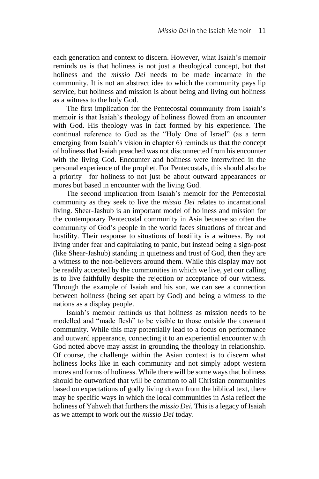each generation and context to discern. However, what Isaiah's memoir reminds us is that holiness is not just a theological concept, but that holiness and the *missio Dei* needs to be made incarnate in the community. It is not an abstract idea to which the community pays lip service, but holiness and mission is about being and living out holiness as a witness to the holy God.

The first implication for the Pentecostal community from Isaiah's memoir is that Isaiah's theology of holiness flowed from an encounter with God. His theology was in fact formed by his experience. The continual reference to God as the "Holy One of Israel" (as a term emerging from Isaiah's vision in chapter 6) reminds us that the concept of holiness that Isaiah preached was not disconnected from his encounter with the living God. Encounter and holiness were intertwined in the personal experience of the prophet. For Pentecostals, this should also be a priority—for holiness to not just be about outward appearances or mores but based in encounter with the living God.

The second implication from Isaiah's memoir for the Pentecostal community as they seek to live the *missio Dei* relates to incarnational living. Shear-Jashub is an important model of holiness and mission for the contemporary Pentecostal community in Asia because so often the community of God's people in the world faces situations of threat and hostility. Their response to situations of hostility is a witness. By not living under fear and capitulating to panic, but instead being a sign-post (like Shear-Jashub) standing in quietness and trust of God, then they are a witness to the non-believers around them. While this display may not be readily accepted by the communities in which we live, yet our calling is to live faithfully despite the rejection or acceptance of our witness. Through the example of Isaiah and his son, we can see a connection between holiness (being set apart by God) and being a witness to the nations as a display people.

Isaiah's memoir reminds us that holiness as mission needs to be modelled and "made flesh" to be visible to those outside the covenant community. While this may potentially lead to a focus on performance and outward appearance, connecting it to an experiential encounter with God noted above may assist in grounding the theology in relationship. Of course, the challenge within the Asian context is to discern what holiness looks like in each community and not simply adopt western mores and forms of holiness. While there will be some ways that holiness should be outworked that will be common to all Christian communities based on expectations of godly living drawn from the biblical text, there may be specific ways in which the local communities in Asia reflect the holiness of Yahweh that furthers the *missio Dei.* This is a legacy of Isaiah as we attempt to work out the *missio Dei* today.